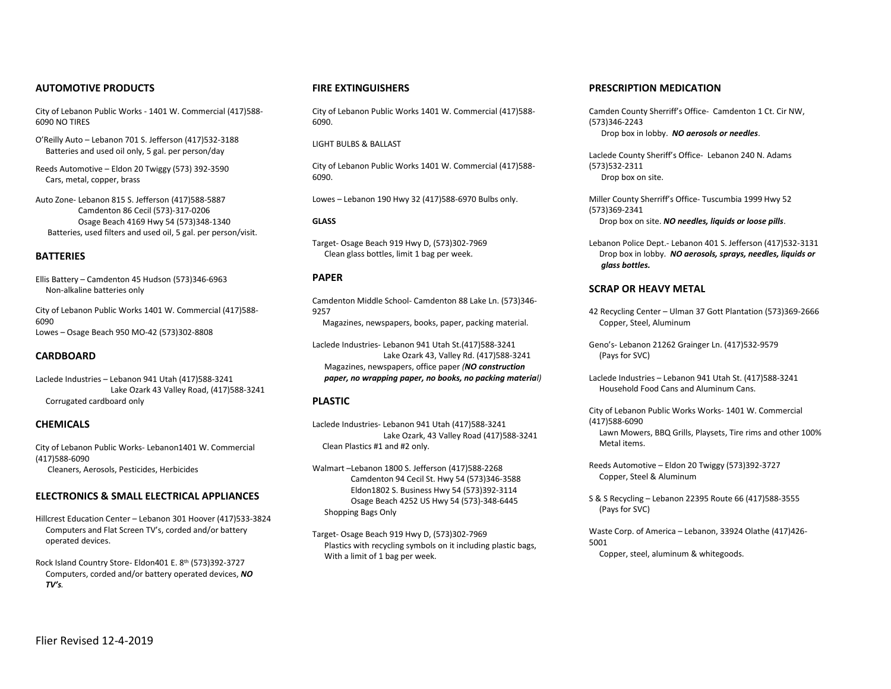## **AUTOMOTIVE PRODUCTS**

City of Lebanon Public Works - 1401 W. Commercial (417)588- 6090 NO TIRES

O'Reilly Auto – Lebanon 701 S. Jefferson (417)532-3188 Batteries and used oil only, 5 gal. per person/day

Reeds Automotive – Eldon 20 Twiggy (573) 392-3590 Cars, metal, copper, brass

Auto Zone- Lebanon 815 S. Jefferson (417)588-5887 Camdenton 86 Cecil (573)-317-0206 Osage Beach 4169 Hwy 54 (573)348-1340 Batteries, used filters and used oil, 5 gal. per person/visit.

## **BATTERIES**

Ellis Battery – Camdenton 45 Hudson (573)346-6963 Non-alkaline batteries only

City of Lebanon Public Works 1401 W. Commercial (417)588- 6090 Lowes – Osage Beach 950 MO-42 (573)302-8808

## **CARDBOARD**

Laclede Industries – Lebanon 941 Utah (417)588-3241 Lake Ozark 43 Valley Road, (417)588-3241 Corrugated cardboard only

## **CHEMICALS**

City of Lebanon Public Works- Lebanon1401 W. Commercial (417)588-6090 Cleaners, Aerosols, Pesticides, Herbicides

## **ELECTRONICS & SMALL ELECTRICAL APPLIANCES**

Hillcrest Education Center – Lebanon 301 Hoover (417)533-3824 Computers and Flat Screen TV's, corded and/or battery operated devices.

Rock Island Country Store- Eldon401 E. 8th (573)392-3727 Computers, corded and/or battery operated devices, *NO TV's.*

## **FIRE EXTINGUISHERS**

City of Lebanon Public Works 1401 W. Commercial (417)588- 6090.

## LIGHT BULBS & BALLAST

City of Lebanon Public Works 1401 W. Commercial (417)588- 6090.

Lowes – Lebanon 190 Hwy 32 (417)588-6970 Bulbs only.

#### **GLASS**

Target- Osage Beach 919 Hwy D, (573)302-7969 Clean glass bottles, limit 1 bag per week.

## **PAPER**

Camdenton Middle School- Camdenton 88 Lake Ln. (573)346- 9257 Magazines, newspapers, books, paper, packing material.

Laclede Industries- Lebanon 941 Utah St.(417)588-3241 Lake Ozark 43, Valley Rd. (417)588-3241 Magazines, newspapers, office paper *(NO construction paper, no wrapping paper, no books, no packing material)*

### **PLASTIC**

Laclede Industries- Lebanon 941 Utah (417)588-3241 Lake Ozark, 43 Valley Road (417)588-3241 Clean Plastics #1 and #2 only.

Walmart –Lebanon 1800 S. Jefferson (417)588-2268 Camdenton 94 Cecil St. Hwy 54 (573)346-3588 Eldon1802 S. Business Hwy 54 (573)392-3114 Osage Beach 4252 US Hwy 54 (573)-348-6445 Shopping Bags Only

Target- Osage Beach 919 Hwy D, (573)302-7969 Plastics with recycling symbols on it including plastic bags, With a limit of 1 bag per week.

## **PRESCRIPTION MEDICATION**

Camden County Sherriff's Office- Camdenton 1 Ct. Cir NW, (573)346-2243 Drop box in lobby. *NO aerosols or needles*.

Laclede County Sheriff's Office- Lebanon 240 N. Adams (573)532-2311 Drop box on site.

Miller County Sherriff's Office- Tuscumbia 1999 Hwy 52 (573)369-2341 Drop box on site. *NO needles, liquids or loose pills*.

Lebanon Police Dept.- Lebanon 401 S. Jefferson (417)532-3131 Drop box in lobby. *NO aerosols, sprays, needles, liquids or glass bottles.* 

## **SCRAP OR HEAVY METAL**

42 Recycling Center – Ulman 37 Gott Plantation (573)369-2666 Copper, Steel, Aluminum

Geno's- Lebanon 21262 Grainger Ln. (417)532-9579 (Pays for SVC)

Laclede Industries – Lebanon 941 Utah St. (417)588-3241 Household Food Cans and Aluminum Cans.

City of Lebanon Public Works Works- 1401 W. Commercial (417)588-6090

 Lawn Mowers, BBQ Grills, Playsets, Tire rims and other 100% Metal items.

Reeds Automotive – Eldon 20 Twiggy (573)392-3727 Copper, Steel & Aluminum

S & S Recycling – Lebanon 22395 Route 66 (417)588-3555 (Pays for SVC)

Waste Corp. of America – Lebanon, 33924 Olathe (417)426- 5001 Copper, steel, aluminum & whitegoods.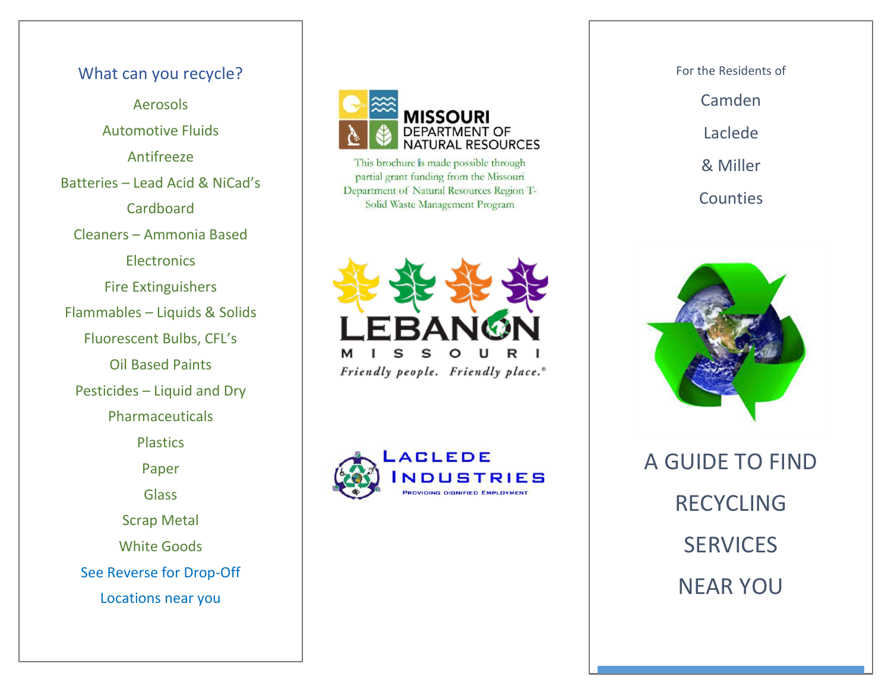# What can you recycle? Aerosols Automotive Fluids Antifreeze Batteries – Lead Acid & NiCad's **Cardboard** Cleaners – Ammonia Based **Electronics** Fire Extinguishers Flammables – Liquids & Solids Fluorescent Bulbs, CFL's Oil Based Paints Pesticides – Liquid and Dry Phar maceuticals **Plastics** Paper **Glass** Scrap Metal White Goods See Reverse for Drop -Off Locations near you



This brochure is made possible through partial grant funding from the Missouri Department of Natural Resources Region T-Solid Waste Management Program





For the Residents of Camden Laclede & Miller **Counties** 



A GUIDE TO FIND RECYCLING **SERVICES** NEAR YOU